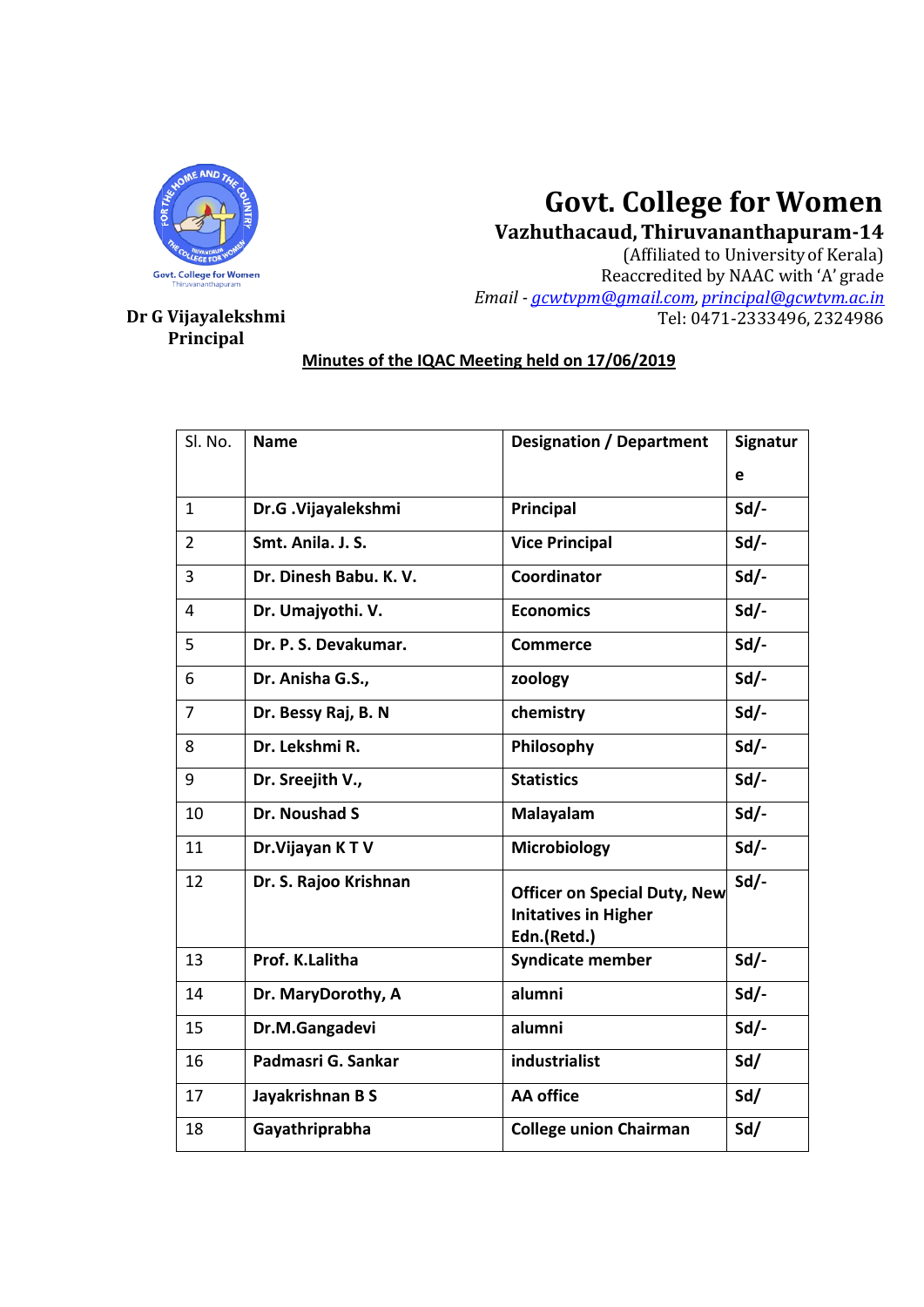

# **Govt. College for**

## **Dr G Vijayalekshmi Dr Principal**

|                          |                                                | <b>Govt. College for Women</b>                                                    |                                                                             |  |  |
|--------------------------|------------------------------------------------|-----------------------------------------------------------------------------------|-----------------------------------------------------------------------------|--|--|
|                          |                                                | Vazhuthacaud, Thiruvananthapuram-14                                               |                                                                             |  |  |
| <b>College for Women</b> |                                                |                                                                                   | (Affiliated to University of Kerala)<br>Reaccredited by NAAC with 'A' grade |  |  |
| hiruvananthapuram        |                                                | Email - gcwtypm@gmail.com, principal@gcwtym.ac.in                                 |                                                                             |  |  |
| ijayalekshmi/            |                                                |                                                                                   | Tel: 0471-2333496, 2324986                                                  |  |  |
| Principal                |                                                |                                                                                   |                                                                             |  |  |
|                          | Minutes of the IQAC Meeting held on 17/06/2019 |                                                                                   |                                                                             |  |  |
|                          |                                                |                                                                                   |                                                                             |  |  |
|                          |                                                |                                                                                   |                                                                             |  |  |
| Sl. No.                  | <b>Name</b>                                    | <b>Designation / Department</b>                                                   | Signatur                                                                    |  |  |
|                          |                                                |                                                                                   | e                                                                           |  |  |
| $\mathbf{1}$             | Dr.G. Vijayalekshmi                            | Principal                                                                         | $Sd$ /-                                                                     |  |  |
| $\overline{2}$           | Smt. Anila. J. S.                              | <b>Vice Principal</b>                                                             | $Sd$ .                                                                      |  |  |
| 3                        | Dr. Dinesh Babu. K. V.                         | Coordinator                                                                       | $Sd$ /-                                                                     |  |  |
| 4                        | Dr. Umajyothi. V.                              | <b>Economics</b>                                                                  | $Sd$ .                                                                      |  |  |
| 5                        | Dr. P. S. Devakumar.                           | <b>Commerce</b>                                                                   | $Sd$ .                                                                      |  |  |
| 6                        | Dr. Anisha G.S.,                               | zoology                                                                           | $Sd$ /-                                                                     |  |  |
| $\overline{7}$           | Dr. Bessy Raj, B. N                            | chemistry                                                                         | $Sd$ .                                                                      |  |  |
| 8                        | Dr. Lekshmi R.                                 | Philosophy                                                                        | $Sd$ .                                                                      |  |  |
| 9                        | Dr. Sreejith V.,                               | <b>Statistics</b>                                                                 | $Sd$ .                                                                      |  |  |
| 10                       | Dr. Noushad S                                  | Malayalam                                                                         | $Sd$ .                                                                      |  |  |
| 11                       | Dr. Vijayan KTV                                | <b>Microbiology</b>                                                               | $Sd$ .                                                                      |  |  |
| 12                       | Dr. S. Rajoo Krishnan                          | <b>Officer on Special Duty, New</b><br><b>Initatives in Higher</b><br>Edn.(Retd.) | $Sd$ .                                                                      |  |  |
| 13                       | Prof. K.Lalitha                                | <b>Syndicate member</b>                                                           | $Sd/-$                                                                      |  |  |
| 14                       | Dr. MaryDorothy, A                             | alumni                                                                            | $Sd$ -                                                                      |  |  |
| 15                       | Dr.M.Gangadevi                                 | alumni                                                                            | $Sd$ -                                                                      |  |  |
| 16                       | Padmasri G. Sankar                             | industrialist                                                                     | Sd/                                                                         |  |  |
| 17                       | Jayakrishnan B S                               | <b>AA office</b>                                                                  | Sd/                                                                         |  |  |
| 18                       | Gayathriprabha                                 | <b>College union Chairman</b>                                                     | Sd/                                                                         |  |  |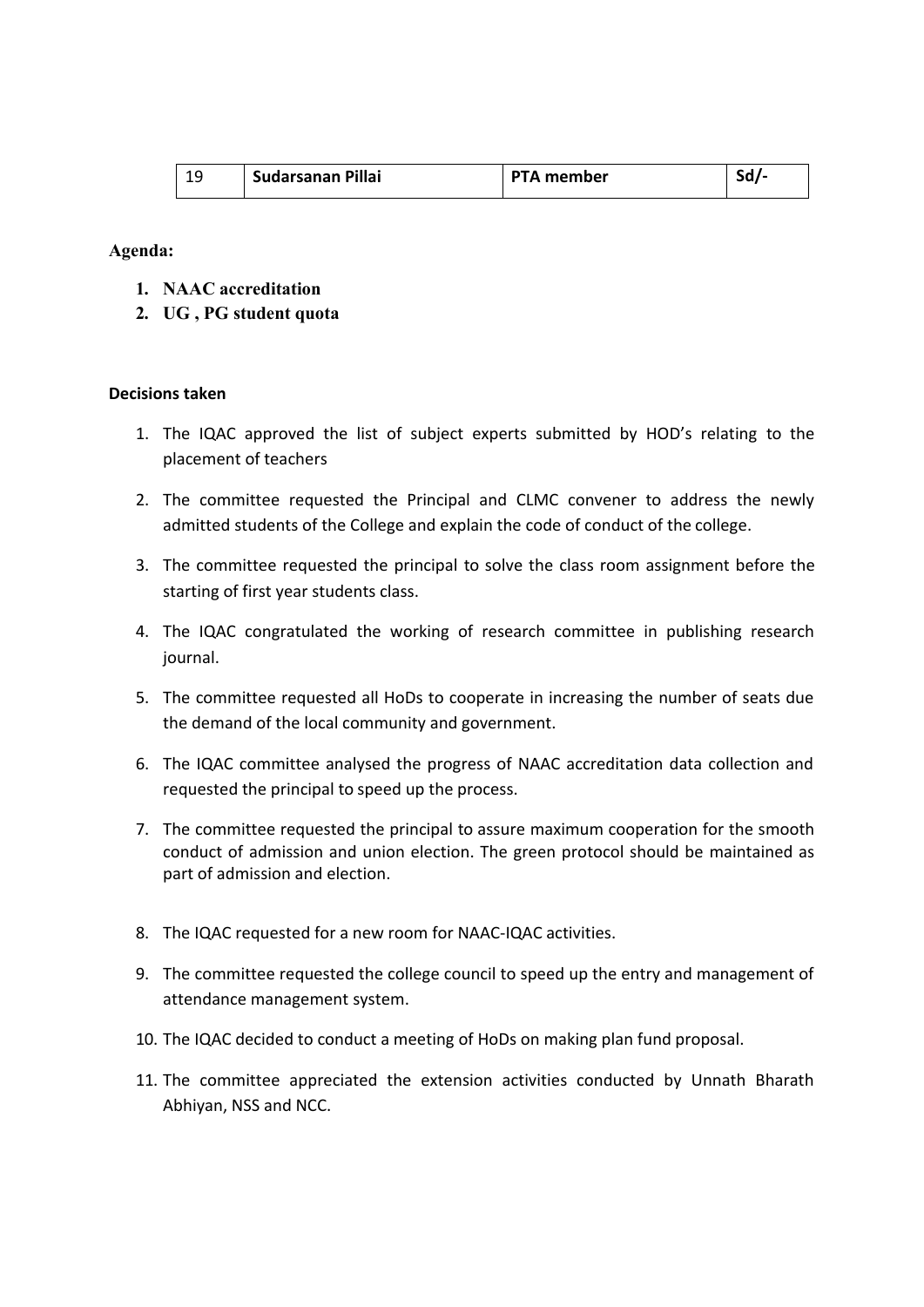| Sudarsanan Pillai | <b>PTA member</b> | эa |
|-------------------|-------------------|----|
|                   |                   |    |

### **Agenda:**

- **1. NAAC accreditation**
- **2. UG , PG student quota**

#### **Decisions taken**

- 1. The IQAC approved the list of subject experts submitted by HOD's relating to the placement of teachers
- 2. The committee requested the Principal and CLMC convener to address the newly admitted students of the College and explain the code of conduct of the college.
- 3. The committee requested the principal to solve the class room assignment before the starting of first year students class.
- 4. The IQAC congratulated the working of research committee in publishing research journal.
- 5. The committee requested all HoDs to cooperate in increasing the number of seats due the demand of the local community and government.
- 6. The IQAC committee analysed the progress of NAAC accreditation data collection and requested the principal to speed up the process.
- 7. The committee requested the principal to assure maximum cooperation for the smooth conduct of admission and union election. The green protocol should be maintained as part of admission and election.
- 8. The IQAC requested for a new room for NAAC-IQAC activities.
- 9. The committee requested the college council to speed up the entry and management of attendance management system.
- 10. The IQAC decided to conduct a meeting of HoDs on making plan fund proposal.
- 11. The committee appreciated the extension activities conducted by Unnath Bharath Abhiyan, NSS and NCC.